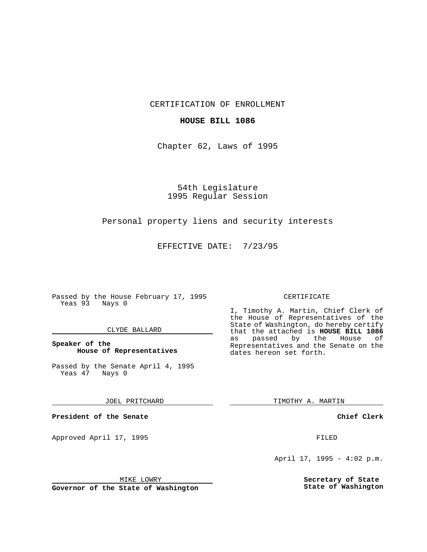CERTIFICATION OF ENROLLMENT

### **HOUSE BILL 1086**

Chapter 62, Laws of 1995

54th Legislature 1995 Regular Session

# Personal property liens and security interests

EFFECTIVE DATE: 7/23/95

Passed by the House February 17, 1995 Yeas 93 Nays 0

#### CLYDE BALLARD

## **Speaker of the House of Representatives**

Passed by the Senate April 4, 1995<br>Yeas 47 Nays 0 Yeas 47

#### JOEL PRITCHARD

**President of the Senate**

Approved April 17, 1995 FILED

#### MIKE LOWRY

**Governor of the State of Washington**

#### CERTIFICATE

I, Timothy A. Martin, Chief Clerk of the House of Representatives of the State of Washington, do hereby certify that the attached is **HOUSE BILL 1086** as passed by the Representatives and the Senate on the dates hereon set forth.

TIMOTHY A. MARTIN

#### **Chief Clerk**

April 17, 1995 - 4:02 p.m.

**Secretary of State State of Washington**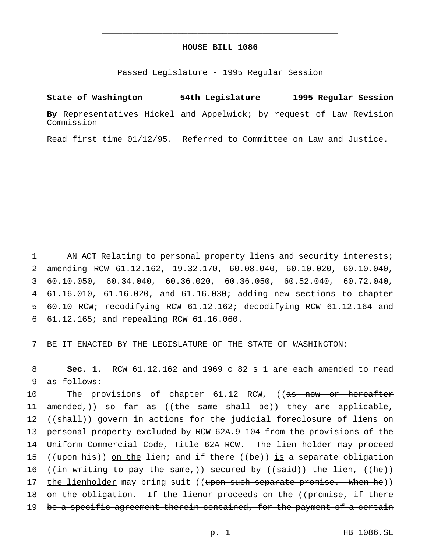# **HOUSE BILL 1086** \_\_\_\_\_\_\_\_\_\_\_\_\_\_\_\_\_\_\_\_\_\_\_\_\_\_\_\_\_\_\_\_\_\_\_\_\_\_\_\_\_\_\_\_\_\_\_

\_\_\_\_\_\_\_\_\_\_\_\_\_\_\_\_\_\_\_\_\_\_\_\_\_\_\_\_\_\_\_\_\_\_\_\_\_\_\_\_\_\_\_\_\_\_\_

Passed Legislature - 1995 Regular Session

# **State of Washington 54th Legislature 1995 Regular Session**

**By** Representatives Hickel and Appelwick; by request of Law Revision Commission

Read first time 01/12/95. Referred to Committee on Law and Justice.

 AN ACT Relating to personal property liens and security interests; amending RCW 61.12.162, 19.32.170, 60.08.040, 60.10.020, 60.10.040, 60.10.050, 60.34.040, 60.36.020, 60.36.050, 60.52.040, 60.72.040, 61.16.010, 61.16.020, and 61.16.030; adding new sections to chapter 60.10 RCW; recodifying RCW 61.12.162; decodifying RCW 61.12.164 and 61.12.165; and repealing RCW 61.16.060.

7 BE IT ENACTED BY THE LEGISLATURE OF THE STATE OF WASHINGTON:

8 **Sec. 1.** RCW 61.12.162 and 1969 c 82 s 1 are each amended to read 9 as follows:

10 The provisions of chapter 61.12 RCW, ((as now or hereafter 11  $amended_r$ ) so far as ((the same shall be)) they are applicable, 12 ((shall)) govern in actions for the judicial foreclosure of liens on 13 personal property excluded by RCW 62A.9-104 from the provisions of the 14 Uniform Commercial Code, Title 62A RCW. The lien holder may proceed 15 ((upon his)) on the lien; and if there ((be)) is a separate obligation 16 ((in writing to pay the same,)) secured by ((said)) the lien, ((he)) 17 the lienholder may bring suit ((upon such separate promise. When he)) 18 on the obligation. If the lienor proceeds on the ((promise, if there 19 be a specific agreement therein contained, for the payment of a certain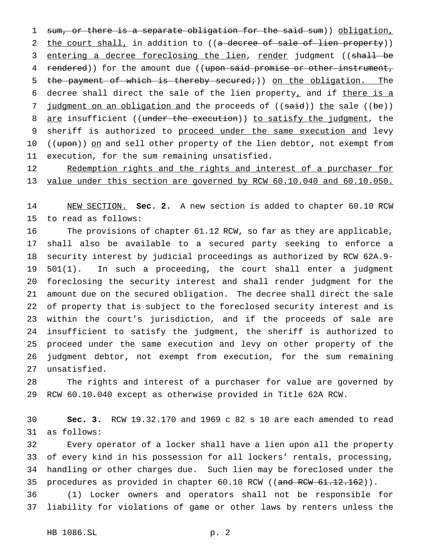1 sum, or there is a separate obligation for the said sum)) obligation, 2 the court shall, in addition to ((a decree of sale of lien property)) 3 entering a decree foreclosing the lien, render judgment ((shall be 4 rendered)) for the amount due ((upon said promise or other instrument, 5 the payment of which is thereby secured;) on the obligation. The 6 decree shall direct the sale of the lien property<sub>1</sub> and if there is a 7 judgment on an obligation and the proceeds of ((said)) the sale ((be)) 8 are insufficient ((under the execution)) to satisfy the judgment, the 9 sheriff is authorized to proceed under the same execution and levy 10 ((upon)) on and sell other property of the lien debtor, not exempt from execution, for the sum remaining unsatisfied.

12 Redemption rights and the rights and interest of a purchaser for value under this section are governed by RCW 60.10.040 and 60.10.050.

 NEW SECTION. **Sec. 2.** A new section is added to chapter 60.10 RCW to read as follows:

 The provisions of chapter 61.12 RCW, so far as they are applicable, shall also be available to a secured party seeking to enforce a security interest by judicial proceedings as authorized by RCW 62A.9- 501(1). In such a proceeding, the court shall enter a judgment foreclosing the security interest and shall render judgment for the amount due on the secured obligation. The decree shall direct the sale of property that is subject to the foreclosed security interest and is within the court's jurisdiction, and if the proceeds of sale are insufficient to satisfy the judgment, the sheriff is authorized to proceed under the same execution and levy on other property of the judgment debtor, not exempt from execution, for the sum remaining unsatisfied.

 The rights and interest of a purchaser for value are governed by RCW 60.10.040 except as otherwise provided in Title 62A RCW.

 **Sec. 3.** RCW 19.32.170 and 1969 c 82 s 10 are each amended to read as follows:

 Every operator of a locker shall have a lien upon all the property of every kind in his possession for all lockers' rentals, processing, handling or other charges due. Such lien may be foreclosed under the 35 procedures as provided in chapter 60.10 RCW ((and RCW 61.12.162)).

 (1) Locker owners and operators shall not be responsible for liability for violations of game or other laws by renters unless the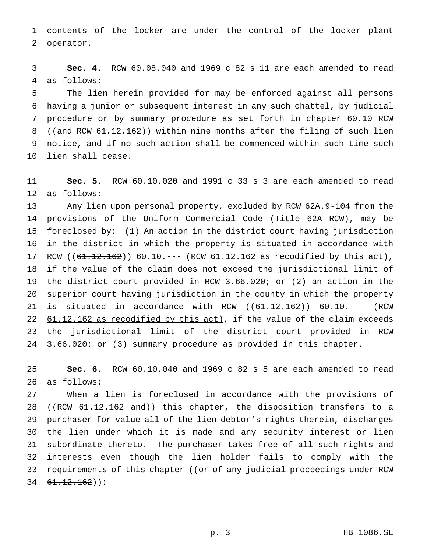contents of the locker are under the control of the locker plant operator.

 **Sec. 4.** RCW 60.08.040 and 1969 c 82 s 11 are each amended to read as follows:

 The lien herein provided for may be enforced against all persons having a junior or subsequent interest in any such chattel, by judicial procedure or by summary procedure as set forth in chapter 60.10 RCW 8 ((and RCW 61.12.162)) within nine months after the filing of such lien notice, and if no such action shall be commenced within such time such lien shall cease.

 **Sec. 5.** RCW 60.10.020 and 1991 c 33 s 3 are each amended to read as follows:

 Any lien upon personal property, excluded by RCW 62A.9-104 from the provisions of the Uniform Commercial Code (Title 62A RCW), may be foreclosed by: (1) An action in the district court having jurisdiction in the district in which the property is situated in accordance with 17 RCW ((61.12.162)) 60.10. --- (RCW 61.12.162 as recodified by this act), if the value of the claim does not exceed the jurisdictional limit of the district court provided in RCW 3.66.020; or (2) an action in the superior court having jurisdiction in the county in which the property 21 is situated in accordance with RCW ((61.12.162)) 60.10.--- (RCW 22 61.12.162 as recodified by this act), if the value of the claim exceeds the jurisdictional limit of the district court provided in RCW 3.66.020; or (3) summary procedure as provided in this chapter.

 **Sec. 6.** RCW 60.10.040 and 1969 c 82 s 5 are each amended to read as follows:

 When a lien is foreclosed in accordance with the provisions of 28 ((RCW 61.12.162 and)) this chapter, the disposition transfers to a purchaser for value all of the lien debtor's rights therein, discharges the lien under which it is made and any security interest or lien subordinate thereto. The purchaser takes free of all such rights and interests even though the lien holder fails to comply with the 33 requirements of this chapter ((<del>or of any judicial proceedings under RCW</del>  $34 \quad 61.12.162)$  :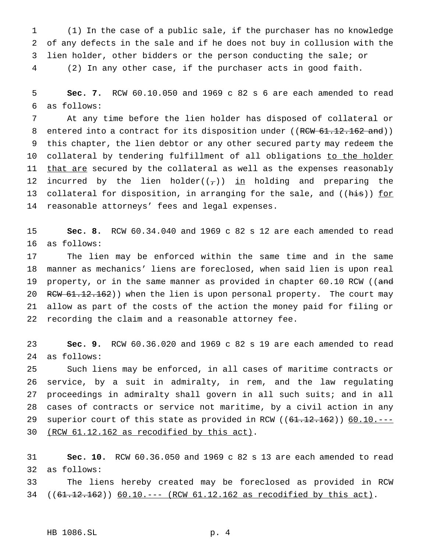(1) In the case of a public sale, if the purchaser has no knowledge of any defects in the sale and if he does not buy in collusion with the lien holder, other bidders or the person conducting the sale; or (2) In any other case, if the purchaser acts in good faith.

 **Sec. 7.** RCW 60.10.050 and 1969 c 82 s 6 are each amended to read as follows:

 At any time before the lien holder has disposed of collateral or 8 entered into a contract for its disposition under ((RCW 61.12.162 and)) this chapter, the lien debtor or any other secured party may redeem the 10 collateral by tendering fulfillment of all obligations to the holder 11 that are secured by the collateral as well as the expenses reasonably 12 incurred by the lien holder( $(\tau)$ ) in holding and preparing the 13 collateral for disposition, in arranging for the sale, and ((his)) for reasonable attorneys' fees and legal expenses.

 **Sec. 8.** RCW 60.34.040 and 1969 c 82 s 12 are each amended to read as follows:

 The lien may be enforced within the same time and in the same manner as mechanics' liens are foreclosed, when said lien is upon real 19 property, or in the same manner as provided in chapter 60.10 RCW ((and 20 RCW 61.12.162)) when the lien is upon personal property. The court may allow as part of the costs of the action the money paid for filing or recording the claim and a reasonable attorney fee.

 **Sec. 9.** RCW 60.36.020 and 1969 c 82 s 19 are each amended to read as follows:

 Such liens may be enforced, in all cases of maritime contracts or service, by a suit in admiralty, in rem, and the law regulating proceedings in admiralty shall govern in all such suits; and in all cases of contracts or service not maritime, by a civil action in any 29 superior court of this state as provided in RCW ((61.12.162)) 60.10.---(RCW 61.12.162 as recodified by this act).

 **Sec. 10.** RCW 60.36.050 and 1969 c 82 s 13 are each amended to read as follows:

 The liens hereby created may be foreclosed as provided in RCW ((61.12.162)) 60.10.--- (RCW 61.12.162 as recodified by this act).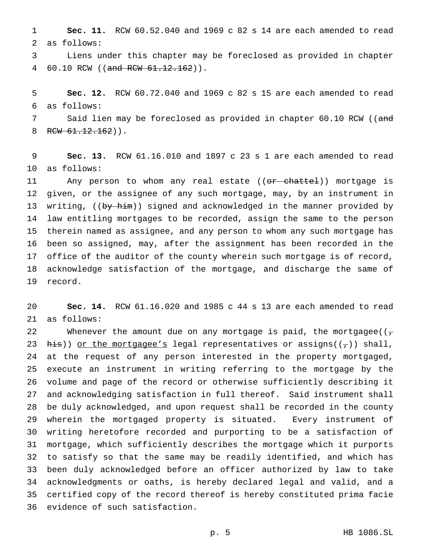**Sec. 11.** RCW 60.52.040 and 1969 c 82 s 14 are each amended to read as follows:

 Liens under this chapter may be foreclosed as provided in chapter 4 60.10 RCW ((and RCW 61.12.162)).

 **Sec. 12.** RCW 60.72.040 and 1969 c 82 s 15 are each amended to read as follows:

7 Said lien may be foreclosed as provided in chapter 60.10 RCW ((and 8 RCW  $61.12.162)$ .

 **Sec. 13.** RCW 61.16.010 and 1897 c 23 s 1 are each amended to read as follows:

11 Any person to whom any real estate ((or chattel)) mortgage is given, or the assignee of any such mortgage, may, by an instrument in 13 writing, ((by him)) signed and acknowledged in the manner provided by law entitling mortgages to be recorded, assign the same to the person therein named as assignee, and any person to whom any such mortgage has been so assigned, may, after the assignment has been recorded in the office of the auditor of the county wherein such mortgage is of record, acknowledge satisfaction of the mortgage, and discharge the same of record.

 **Sec. 14.** RCW 61.16.020 and 1985 c 44 s 13 are each amended to read as follows:

22 Whenever the amount due on any mortgage is paid, the mortgagee( $(\tau$ 23 his)) or the mortgagee's legal representatives or assigns( $(\tau)$ ) shall, at the request of any person interested in the property mortgaged, execute an instrument in writing referring to the mortgage by the volume and page of the record or otherwise sufficiently describing it and acknowledging satisfaction in full thereof. Said instrument shall be duly acknowledged, and upon request shall be recorded in the county wherein the mortgaged property is situated. Every instrument of writing heretofore recorded and purporting to be a satisfaction of mortgage, which sufficiently describes the mortgage which it purports to satisfy so that the same may be readily identified, and which has been duly acknowledged before an officer authorized by law to take acknowledgments or oaths, is hereby declared legal and valid, and a certified copy of the record thereof is hereby constituted prima facie evidence of such satisfaction.